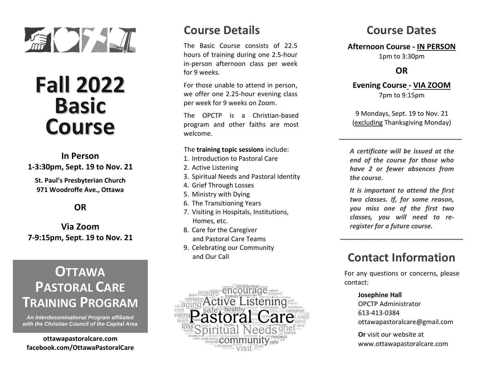

# **Fall 2022 Basic Course**

### **In Person 1-3:30pm, Sept. 19 to Nov. 21**

**St. Paul's Presbyterian Church 971 Woodroffe Ave., Ottawa**

#### **OR**

**Via Zoom 7-9:15pm, Sept. 19 to Nov. 21**

# **OTTAWA PASTORAL CARE TRAINING PROGRAM**

*An Interdenominational Program affiliated with the Christian Council of the Capital Area*

**ottawapastoralcare.com facebook.com/OttawaPastoralCare**

### **Course Details**

The Basic Course consists of 22.5 hours of training during one 2.5-hour in-person afternoon class per week for 9 weeks.

For those unable to attend in person, we offer one 2.25-hour evening class per week for 9 weeks on Zoom.

The OPCTP is a Christian-based program and other faiths are most welcome.

#### The **training topic sessions** include:

- 1. Introduction to Pastoral Care
- 2. Active Listening
- 3. Spiritual Needs and Pastoral Identity
- 4. Grief Through Losses
- 5. Ministry with Dying
- 6. The Transitioning Years
- 7. Visiting in Hospitals, Institutions, Homes, etc.
- 8. Care for the Caregiver and Pastoral Care Teams
- 9. Celebrating our Community and Our Call



### **Course Dates**

#### **Afternoon Course - IN PERSON**

1pm to 3:30pm

#### **OR**

#### **Evening Course - VIA ZOOM** 7pm to 9:15pm

9 Mondays, Sept. 19 to Nov. 21 (excluding Thanksgiving Monday)

**\_\_\_\_\_\_\_\_\_\_\_\_\_\_\_\_\_\_\_\_\_\_\_\_\_\_\_\_\_\_**

*A certificate will be issued at the end of the course for those who have 2 or fewer absences from the course.*

*It is important to attend the first two classes. If, for some reason, you miss one of the first two classes, you will need to reregister for a future course.*

### **Contact Information**

**\_\_\_\_\_\_\_\_\_\_\_\_\_\_\_\_\_\_\_\_\_\_\_\_\_\_\_\_\_\_**

For any questions or concerns, please contact:

#### **Josephine Hall**

OPCTP Administrator 613-413-0384 ottawapastoralcare@gmail.com

**Or** visit our website at www.ottawapastoralcare.com